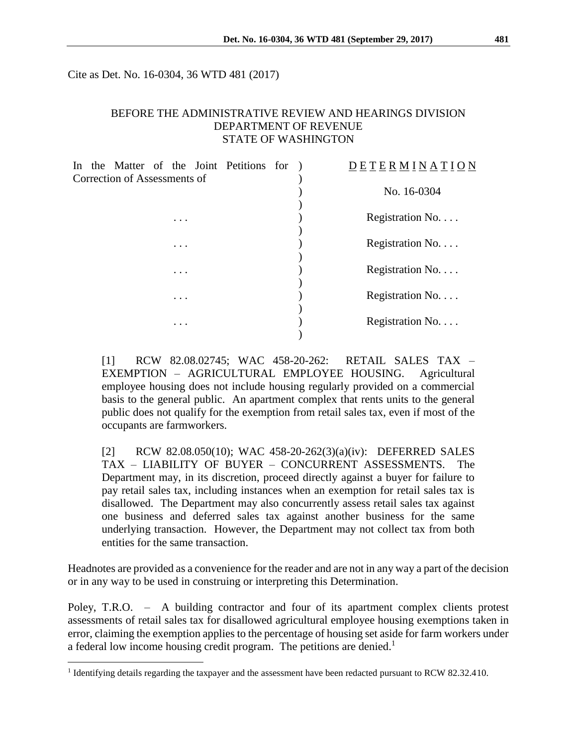Cite as Det. No. 16-0304, 36 WTD 481 (2017)

### BEFORE THE ADMINISTRATIVE REVIEW AND HEARINGS DIVISION DEPARTMENT OF REVENUE STATE OF WASHINGTON

|                              |  |  |  |          |  | In the Matter of the Joint Petitions for |  |  | <b>ETERMINATION</b> |
|------------------------------|--|--|--|----------|--|------------------------------------------|--|--|---------------------|
| Correction of Assessments of |  |  |  |          |  |                                          |  |  |                     |
|                              |  |  |  |          |  |                                          |  |  | No. 16-0304         |
|                              |  |  |  |          |  |                                          |  |  |                     |
|                              |  |  |  | $\cdots$ |  |                                          |  |  | Registration No.    |
|                              |  |  |  |          |  |                                          |  |  |                     |
|                              |  |  |  | $\cdots$ |  |                                          |  |  | Registration No.    |
|                              |  |  |  |          |  |                                          |  |  |                     |
|                              |  |  |  | .        |  |                                          |  |  | Registration No.    |
|                              |  |  |  |          |  |                                          |  |  |                     |
|                              |  |  |  | $\cdots$ |  |                                          |  |  | Registration No.    |
|                              |  |  |  |          |  |                                          |  |  |                     |
|                              |  |  |  | $\cdots$ |  |                                          |  |  | Registration No.    |
|                              |  |  |  |          |  |                                          |  |  |                     |
|                              |  |  |  |          |  |                                          |  |  |                     |

[1] RCW 82.08.02745; WAC 458-20-262: RETAIL SALES TAX – EXEMPTION – AGRICULTURAL EMPLOYEE HOUSING. Agricultural employee housing does not include housing regularly provided on a commercial basis to the general public. An apartment complex that rents units to the general public does not qualify for the exemption from retail sales tax, even if most of the occupants are farmworkers.

[2] RCW 82.08.050(10); WAC 458-20-262(3)(a)(iv): DEFERRED SALES TAX – LIABILITY OF BUYER – CONCURRENT ASSESSMENTS. The Department may, in its discretion, proceed directly against a buyer for failure to pay retail sales tax, including instances when an exemption for retail sales tax is disallowed. The Department may also concurrently assess retail sales tax against one business and deferred sales tax against another business for the same underlying transaction. However, the Department may not collect tax from both entities for the same transaction.

Headnotes are provided as a convenience for the reader and are not in any way a part of the decision or in any way to be used in construing or interpreting this Determination.

Poley, T.R.O. - A building contractor and four of its apartment complex clients protest assessments of retail sales tax for disallowed agricultural employee housing exemptions taken in error, claiming the exemption applies to the percentage of housing set aside for farm workers under a federal low income housing credit program. The petitions are denied.<sup>1</sup>

<sup>&</sup>lt;sup>1</sup> Identifying details regarding the taxpayer and the assessment have been redacted pursuant to RCW 82.32.410.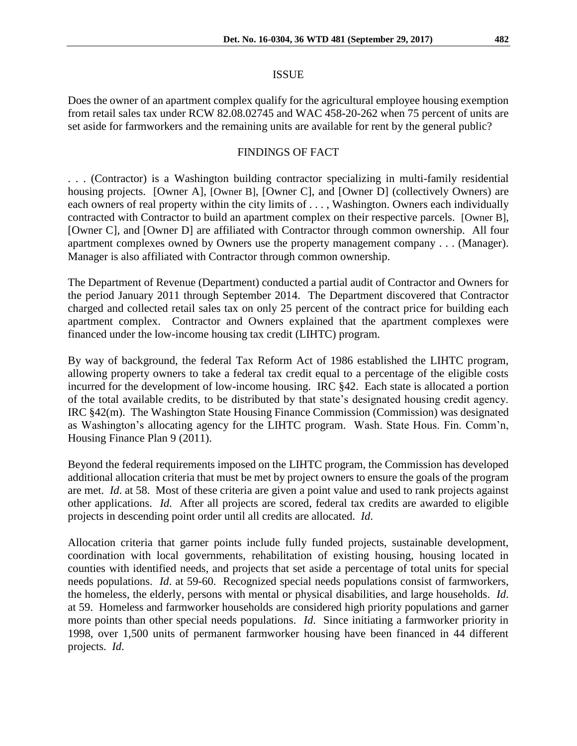#### ISSUE

Does the owner of an apartment complex qualify for the agricultural employee housing exemption from retail sales tax under RCW 82.08.02745 and WAC 458-20-262 when 75 percent of units are set aside for farmworkers and the remaining units are available for rent by the general public?

### FINDINGS OF FACT

. . . (Contractor) is a Washington building contractor specializing in multi-family residential housing projects. [Owner A], [Owner B], [Owner C], and [Owner D] (collectively Owners) are each owners of real property within the city limits of . . . , Washington. Owners each individually contracted with Contractor to build an apartment complex on their respective parcels. [Owner B], [Owner C], and [Owner D] are affiliated with Contractor through common ownership. All four apartment complexes owned by Owners use the property management company . . . (Manager). Manager is also affiliated with Contractor through common ownership.

The Department of Revenue (Department) conducted a partial audit of Contractor and Owners for the period January 2011 through September 2014. The Department discovered that Contractor charged and collected retail sales tax on only 25 percent of the contract price for building each apartment complex. Contractor and Owners explained that the apartment complexes were financed under the low-income housing tax credit (LIHTC) program.

By way of background, the federal Tax Reform Act of 1986 established the LIHTC program, allowing property owners to take a federal tax credit equal to a percentage of the eligible costs incurred for the development of low-income housing. IRC §42. Each state is allocated a portion of the total available credits, to be distributed by that state's designated housing credit agency. IRC §42(m). The Washington State Housing Finance Commission (Commission) was designated as Washington's allocating agency for the LIHTC program. Wash. State Hous. Fin. Comm'n, Housing Finance Plan 9 (2011).

Beyond the federal requirements imposed on the LIHTC program, the Commission has developed additional allocation criteria that must be met by project owners to ensure the goals of the program are met. *Id*. at 58. Most of these criteria are given a point value and used to rank projects against other applications. *Id*. After all projects are scored, federal tax credits are awarded to eligible projects in descending point order until all credits are allocated. *Id*.

Allocation criteria that garner points include fully funded projects, sustainable development, coordination with local governments, rehabilitation of existing housing, housing located in counties with identified needs, and projects that set aside a percentage of total units for special needs populations. *Id*. at 59-60. Recognized special needs populations consist of farmworkers, the homeless, the elderly, persons with mental or physical disabilities, and large households. *Id*. at 59. Homeless and farmworker households are considered high priority populations and garner more points than other special needs populations. *Id*. Since initiating a farmworker priority in 1998, over 1,500 units of permanent farmworker housing have been financed in 44 different projects. *Id*.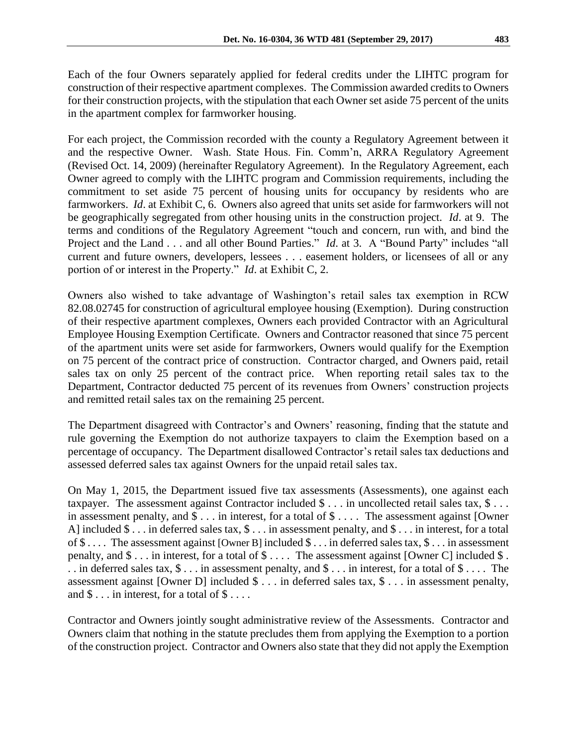Each of the four Owners separately applied for federal credits under the LIHTC program for construction of their respective apartment complexes. The Commission awarded credits to Owners for their construction projects, with the stipulation that each Owner set aside 75 percent of the units in the apartment complex for farmworker housing.

For each project, the Commission recorded with the county a Regulatory Agreement between it and the respective Owner. Wash. State Hous. Fin. Comm'n, ARRA Regulatory Agreement (Revised Oct. 14, 2009) (hereinafter Regulatory Agreement). In the Regulatory Agreement, each Owner agreed to comply with the LIHTC program and Commission requirements, including the commitment to set aside 75 percent of housing units for occupancy by residents who are farmworkers. *Id*. at Exhibit C, 6. Owners also agreed that units set aside for farmworkers will not be geographically segregated from other housing units in the construction project. *Id*. at 9. The terms and conditions of the Regulatory Agreement "touch and concern, run with, and bind the Project and the Land . . . and all other Bound Parties." *Id*. at 3. A "Bound Party" includes "all current and future owners, developers, lessees . . . easement holders, or licensees of all or any portion of or interest in the Property." *Id*. at Exhibit C, 2.

Owners also wished to take advantage of Washington's retail sales tax exemption in RCW 82.08.02745 for construction of agricultural employee housing (Exemption). During construction of their respective apartment complexes, Owners each provided Contractor with an Agricultural Employee Housing Exemption Certificate. Owners and Contractor reasoned that since 75 percent of the apartment units were set aside for farmworkers, Owners would qualify for the Exemption on 75 percent of the contract price of construction. Contractor charged, and Owners paid, retail sales tax on only 25 percent of the contract price. When reporting retail sales tax to the Department, Contractor deducted 75 percent of its revenues from Owners' construction projects and remitted retail sales tax on the remaining 25 percent.

The Department disagreed with Contractor's and Owners' reasoning, finding that the statute and rule governing the Exemption do not authorize taxpayers to claim the Exemption based on a percentage of occupancy. The Department disallowed Contractor's retail sales tax deductions and assessed deferred sales tax against Owners for the unpaid retail sales tax.

On May 1, 2015, the Department issued five tax assessments (Assessments), one against each taxpayer. The assessment against Contractor included \$ . . . in uncollected retail sales tax, \$ . . . in assessment penalty, and \$ . . . in interest, for a total of \$ . . . . The assessment against [Owner A] included \$ . . . in deferred sales tax, \$ . . . in assessment penalty, and \$ . . . in interest, for a total of \$ . . . . The assessment against [Owner B] included \$ . . . in deferred sales tax, \$ . . . in assessment penalty, and  $\$\dots$  in interest, for a total of  $\S\dots$ . The assessment against [Owner C] included  $\S.$ . . in deferred sales tax,  $\$\dots$  in assessment penalty, and  $\$\dots$  in interest, for a total of  $\$\dots$ . The assessment against [Owner D] included \$ . . . in deferred sales tax, \$ . . . in assessment penalty, and  $\$\dots$  in interest, for a total of  $\$\dots$ .

Contractor and Owners jointly sought administrative review of the Assessments. Contractor and Owners claim that nothing in the statute precludes them from applying the Exemption to a portion of the construction project. Contractor and Owners also state that they did not apply the Exemption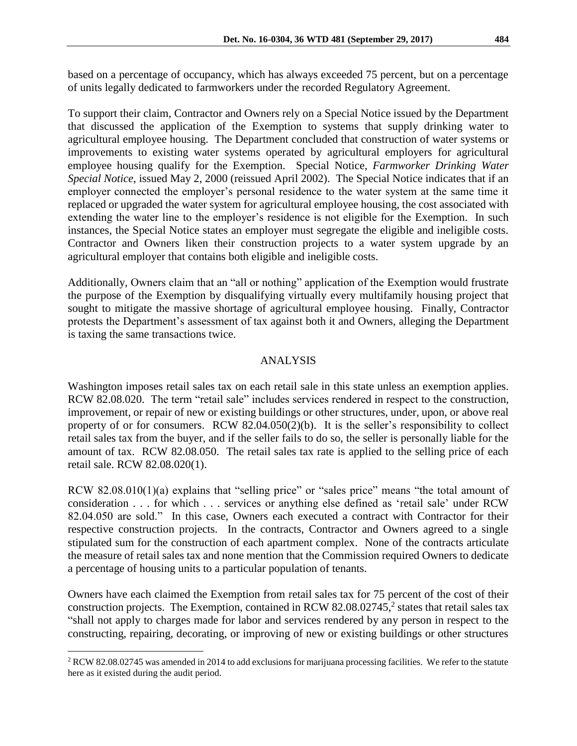based on a percentage of occupancy, which has always exceeded 75 percent, but on a percentage of units legally dedicated to farmworkers under the recorded Regulatory Agreement.

To support their claim, Contractor and Owners rely on a Special Notice issued by the Department that discussed the application of the Exemption to systems that supply drinking water to agricultural employee housing. The Department concluded that construction of water systems or improvements to existing water systems operated by agricultural employers for agricultural employee housing qualify for the Exemption. Special Notice, *Farmworker Drinking Water Special Notice*, issued May 2, 2000 (reissued April 2002). The Special Notice indicates that if an employer connected the employer's personal residence to the water system at the same time it replaced or upgraded the water system for agricultural employee housing, the cost associated with extending the water line to the employer's residence is not eligible for the Exemption. In such instances, the Special Notice states an employer must segregate the eligible and ineligible costs. Contractor and Owners liken their construction projects to a water system upgrade by an agricultural employer that contains both eligible and ineligible costs.

Additionally, Owners claim that an "all or nothing" application of the Exemption would frustrate the purpose of the Exemption by disqualifying virtually every multifamily housing project that sought to mitigate the massive shortage of agricultural employee housing. Finally, Contractor protests the Department's assessment of tax against both it and Owners, alleging the Department is taxing the same transactions twice.

# ANALYSIS

Washington imposes retail sales tax on each retail sale in this state unless an exemption applies. RCW 82.08.020. The term "retail sale" includes services rendered in respect to the construction, improvement, or repair of new or existing buildings or other structures, under, upon, or above real property of or for consumers. RCW 82.04.050(2)(b). It is the seller's responsibility to collect retail sales tax from the buyer, and if the seller fails to do so, the seller is personally liable for the amount of tax. RCW 82.08.050. The retail sales tax rate is applied to the selling price of each retail sale. RCW 82.08.020(1).

RCW 82.08.010(1)(a) explains that "selling price" or "sales price" means "the total amount of consideration . . . for which . . . services or anything else defined as 'retail sale' under RCW 82.04.050 are sold." In this case, Owners each executed a contract with Contractor for their respective construction projects. In the contracts, Contractor and Owners agreed to a single stipulated sum for the construction of each apartment complex. None of the contracts articulate the measure of retail sales tax and none mention that the Commission required Owners to dedicate a percentage of housing units to a particular population of tenants.

Owners have each claimed the Exemption from retail sales tax for 75 percent of the cost of their construction projects. The Exemption, contained in RCW 82.08.02745,<sup>2</sup> states that retail sales tax "shall not apply to charges made for labor and services rendered by any person in respect to the constructing, repairing, decorating, or improving of new or existing buildings or other structures

<sup>&</sup>lt;sup>2</sup> RCW 82.08.02745 was amended in 2014 to add exclusions for marijuana processing facilities. We refer to the statute here as it existed during the audit period.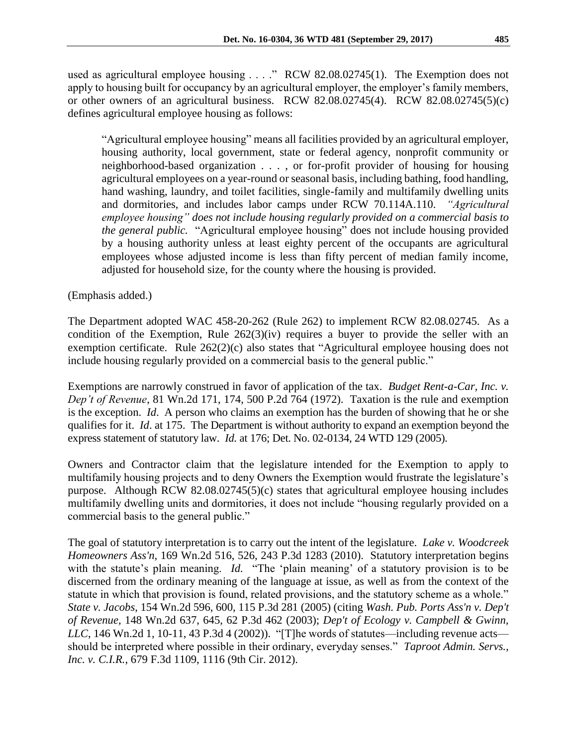used as agricultural employee housing . . . ." RCW 82.08.02745(1). The Exemption does not apply to housing built for occupancy by an agricultural employer, the employer's family members, or other owners of an agricultural business. RCW 82.08.02745(4). RCW 82.08.02745(5)(c) defines agricultural employee housing as follows:

"Agricultural employee housing" means all facilities provided by an agricultural employer, housing authority, local government, state or federal agency, nonprofit community or neighborhood-based organization . . . , or for-profit provider of housing for housing agricultural employees on a year-round or seasonal basis, including bathing, food handling, hand washing, laundry, and toilet facilities, single-family and multifamily dwelling units and dormitories, and includes labor camps under RCW 70.114A.110. *"Agricultural employee housing" does not include housing regularly provided on a commercial basis to the general public.* "Agricultural employee housing" does not include housing provided by a housing authority unless at least eighty percent of the occupants are agricultural employees whose adjusted income is less than fifty percent of median family income, adjusted for household size, for the county where the housing is provided.

(Emphasis added.)

The Department adopted WAC 458-20-262 (Rule 262) to implement RCW 82.08.02745. As a condition of the Exemption, Rule 262(3)(iv) requires a buyer to provide the seller with an exemption certificate. Rule 262(2)(c) also states that "Agricultural employee housing does not include housing regularly provided on a commercial basis to the general public."

Exemptions are narrowly construed in favor of application of the tax. *Budget Rent-a-Car, Inc. v. Dep't of Revenue*, 81 Wn.2d 171, 174, 500 P.2d 764 (1972). Taxation is the rule and exemption is the exception. *Id*. A person who claims an exemption has the burden of showing that he or she qualifies for it. *Id*. at 175. The Department is without authority to expand an exemption beyond the express statement of statutory law. *Id.* at 176; Det. No. 02-0134, 24 WTD 129 (2005).

Owners and Contractor claim that the legislature intended for the Exemption to apply to multifamily housing projects and to deny Owners the Exemption would frustrate the legislature's purpose. Although RCW 82.08.02745(5)(c) states that agricultural employee housing includes multifamily dwelling units and dormitories, it does not include "housing regularly provided on a commercial basis to the general public."

The goal of statutory interpretation is to carry out the intent of the legislature. *Lake v. Woodcreek Homeowners Ass'n,* 169 Wn.2d 516, 526, 243 P.3d 1283 (2010). Statutory interpretation begins with the statute's plain meaning. *Id.* "The 'plain meaning' of a statutory provision is to be discerned from the ordinary meaning of the language at issue, as well as from the context of the statute in which that provision is found, related provisions, and the statutory scheme as a whole." *State v. Jacobs*, 154 Wn.2d 596, 600, 115 P.3d 281 (2005) (citing *Wash. Pub. Ports Ass'n v. Dep't of Revenue*, 148 Wn.2d 637, 645, 62 P.3d 462 (2003); *Dep't of Ecology v. Campbell & Gwinn, LLC*, 146 Wn.2d 1, 10-11, 43 P.3d 4 (2002)). "[T]he words of statutes—including revenue acts should be interpreted where possible in their ordinary, everyday senses." *Taproot Admin. Servs., Inc. v. C.I.R.*, 679 F.3d 1109, 1116 (9th Cir. 2012).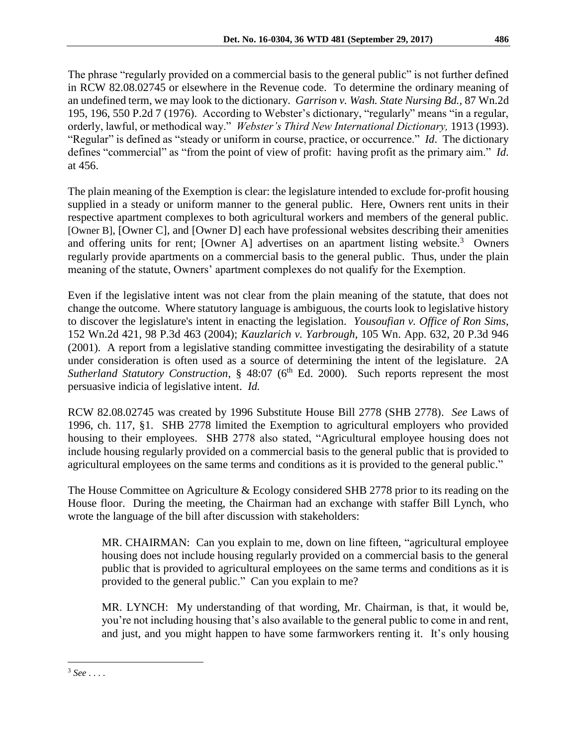The phrase "regularly provided on a commercial basis to the general public" is not further defined in RCW 82.08.02745 or elsewhere in the Revenue code. To determine the ordinary meaning of an undefined term, we may look to the dictionary. *Garrison v. Wash. State Nursing Bd.,* 87 Wn.2d 195, 196, 550 P.2d 7 (1976). According to Webster's dictionary, "regularly" means "in a regular, orderly, lawful, or methodical way." *Webster's Third New International Dictionary,* 1913 (1993). "Regular" is defined as "steady or uniform in course, practice, or occurrence." *Id*. The dictionary defines "commercial" as "from the point of view of profit: having profit as the primary aim." *Id*. at 456.

The plain meaning of the Exemption is clear: the legislature intended to exclude for-profit housing supplied in a steady or uniform manner to the general public. Here, Owners rent units in their respective apartment complexes to both agricultural workers and members of the general public. [Owner B], [Owner C], and [Owner D] each have professional websites describing their amenities and offering units for rent; [Owner A] advertises on an apartment listing website.<sup>3</sup> Owners regularly provide apartments on a commercial basis to the general public. Thus, under the plain meaning of the statute, Owners' apartment complexes do not qualify for the Exemption.

Even if the legislative intent was not clear from the plain meaning of the statute, that does not change the outcome. Where statutory language is ambiguous, the courts look to legislative history to discover the legislature's intent in enacting the legislation. *Yousoufian v. Office of Ron Sims*, 152 Wn.2d 421, 98 P.3d 463 (2004); *Kauzlarich v. Yarbrough*, 105 Wn. App. 632, 20 P.3d 946 (2001). A report from a legislative standing committee investigating the desirability of a statute under consideration is often used as a source of determining the intent of the legislature. 2A *Sutherland Statutory Construction*, § 48:07 (6<sup>th</sup> Ed. 2000). Such reports represent the most persuasive indicia of legislative intent. *Id.*

RCW 82.08.02745 was created by 1996 Substitute House Bill 2778 (SHB 2778). *See* Laws of 1996, ch. 117, §1. SHB 2778 limited the Exemption to agricultural employers who provided housing to their employees. SHB 2778 also stated, "Agricultural employee housing does not include housing regularly provided on a commercial basis to the general public that is provided to agricultural employees on the same terms and conditions as it is provided to the general public."

The House Committee on Agriculture & Ecology considered SHB 2778 prior to its reading on the House floor. During the meeting, the Chairman had an exchange with staffer Bill Lynch, who wrote the language of the bill after discussion with stakeholders:

MR. CHAIRMAN: Can you explain to me, down on line fifteen, "agricultural employee housing does not include housing regularly provided on a commercial basis to the general public that is provided to agricultural employees on the same terms and conditions as it is provided to the general public." Can you explain to me?

MR. LYNCH: My understanding of that wording, Mr. Chairman, is that, it would be, you're not including housing that's also available to the general public to come in and rent, and just, and you might happen to have some farmworkers renting it. It's only housing

<sup>3</sup> *See* . . . .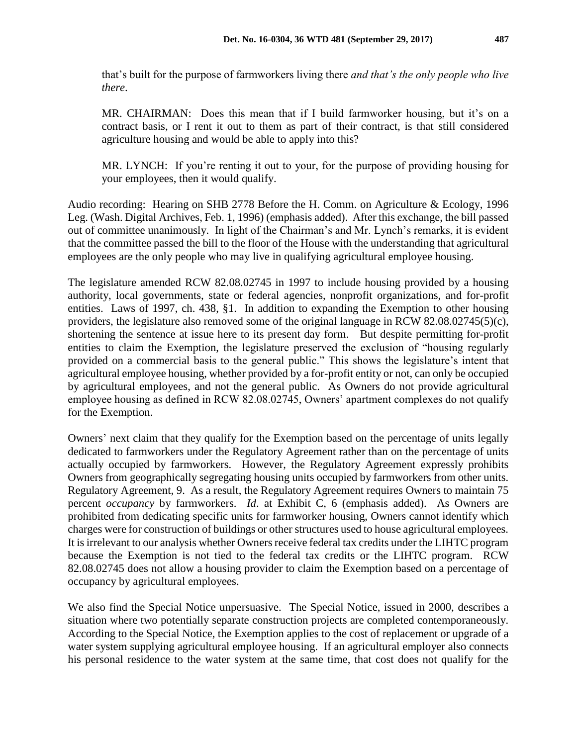that's built for the purpose of farmworkers living there *and that's the only people who live there*.

MR. CHAIRMAN: Does this mean that if I build farmworker housing, but it's on a contract basis, or I rent it out to them as part of their contract, is that still considered agriculture housing and would be able to apply into this?

MR. LYNCH: If you're renting it out to your, for the purpose of providing housing for your employees, then it would qualify.

Audio recording: Hearing on SHB 2778 Before the H. Comm. on Agriculture & Ecology, 1996 Leg. (Wash. Digital Archives, Feb. 1, 1996) (emphasis added). After this exchange, the bill passed out of committee unanimously. In light of the Chairman's and Mr. Lynch's remarks, it is evident that the committee passed the bill to the floor of the House with the understanding that agricultural employees are the only people who may live in qualifying agricultural employee housing.

The legislature amended RCW 82.08.02745 in 1997 to include housing provided by a housing authority, local governments, state or federal agencies, nonprofit organizations, and for-profit entities. Laws of 1997, ch. 438, §1. In addition to expanding the Exemption to other housing providers, the legislature also removed some of the original language in RCW 82.08.02745(5)(c), shortening the sentence at issue here to its present day form. But despite permitting for-profit entities to claim the Exemption, the legislature preserved the exclusion of "housing regularly provided on a commercial basis to the general public." This shows the legislature's intent that agricultural employee housing, whether provided by a for-profit entity or not, can only be occupied by agricultural employees, and not the general public. As Owners do not provide agricultural employee housing as defined in RCW 82.08.02745, Owners' apartment complexes do not qualify for the Exemption.

Owners' next claim that they qualify for the Exemption based on the percentage of units legally dedicated to farmworkers under the Regulatory Agreement rather than on the percentage of units actually occupied by farmworkers. However, the Regulatory Agreement expressly prohibits Owners from geographically segregating housing units occupied by farmworkers from other units. Regulatory Agreement, 9. As a result, the Regulatory Agreement requires Owners to maintain 75 percent *occupancy* by farmworkers. *Id*. at Exhibit C, 6 (emphasis added). As Owners are prohibited from dedicating specific units for farmworker housing, Owners cannot identify which charges were for construction of buildings or other structures used to house agricultural employees. It is irrelevant to our analysis whether Owners receive federal tax credits under the LIHTC program because the Exemption is not tied to the federal tax credits or the LIHTC program. RCW 82.08.02745 does not allow a housing provider to claim the Exemption based on a percentage of occupancy by agricultural employees.

We also find the Special Notice unpersuasive. The Special Notice, issued in 2000, describes a situation where two potentially separate construction projects are completed contemporaneously. According to the Special Notice, the Exemption applies to the cost of replacement or upgrade of a water system supplying agricultural employee housing. If an agricultural employer also connects his personal residence to the water system at the same time, that cost does not qualify for the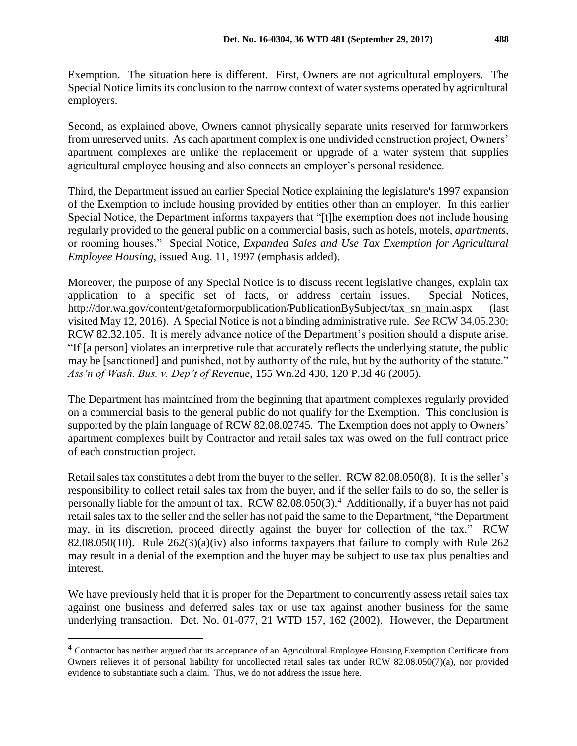Exemption. The situation here is different. First, Owners are not agricultural employers. The Special Notice limits its conclusion to the narrow context of water systems operated by agricultural employers.

Second, as explained above, Owners cannot physically separate units reserved for farmworkers from unreserved units. As each apartment complex is one undivided construction project, Owners' apartment complexes are unlike the replacement or upgrade of a water system that supplies agricultural employee housing and also connects an employer's personal residence.

Third, the Department issued an earlier Special Notice explaining the legislature's 1997 expansion of the Exemption to include housing provided by entities other than an employer. In this earlier Special Notice, the Department informs taxpayers that "[t]he exemption does not include housing regularly provided to the general public on a commercial basis, such as hotels, motels, *apartments,* or rooming houses." Special Notice, *Expanded Sales and Use Tax Exemption for Agricultural Employee Housing*, issued Aug. 11, 1997 (emphasis added).

Moreover, the purpose of any Special Notice is to discuss recent legislative changes, explain tax application to a specific set of facts, or address certain issues. Special Notices, http://dor.wa.gov/content/getaformorpublication/PublicationBySubject/tax\_sn\_main.aspx (last visited May 12, 2016). A Special Notice is not a binding administrative rule. *See* RCW 34.05.230; RCW 82.32.105. It is merely advance notice of the Department's position should a dispute arise. "If [a person] violates an interpretive rule that accurately reflects the underlying statute, the public may be [sanctioned] and punished, not by authority of the rule, but by the authority of the statute." *Ass'n of Wash. Bus. v. Dep't of Revenue*, 155 Wn.2d 430, 120 P.3d 46 (2005).

The Department has maintained from the beginning that apartment complexes regularly provided on a commercial basis to the general public do not qualify for the Exemption. This conclusion is supported by the plain language of RCW 82.08.02745. The Exemption does not apply to Owners' apartment complexes built by Contractor and retail sales tax was owed on the full contract price of each construction project.

Retail sales tax constitutes a debt from the buyer to the seller. RCW 82.08.050(8). It is the seller's responsibility to collect retail sales tax from the buyer, and if the seller fails to do so, the seller is personally liable for the amount of tax. RCW 82.08.050(3). <sup>4</sup> Additionally, if a buyer has not paid retail sales tax to the seller and the seller has not paid the same to the Department, "the Department may, in its discretion, proceed directly against the buyer for collection of the tax." RCW 82.08.050(10). Rule  $262(3)(a)(iv)$  also informs taxpayers that failure to comply with Rule 262 may result in a denial of the exemption and the buyer may be subject to use tax plus penalties and interest.

We have previously held that it is proper for the Department to concurrently assess retail sales tax against one business and deferred sales tax or use tax against another business for the same underlying transaction. Det. No. 01-077, 21 WTD 157, 162 (2002). However, the Department

<sup>&</sup>lt;sup>4</sup> Contractor has neither argued that its acceptance of an Agricultural Employee Housing Exemption Certificate from Owners relieves it of personal liability for uncollected retail sales tax under RCW 82.08.050(7)(a), nor provided evidence to substantiate such a claim. Thus, we do not address the issue here.